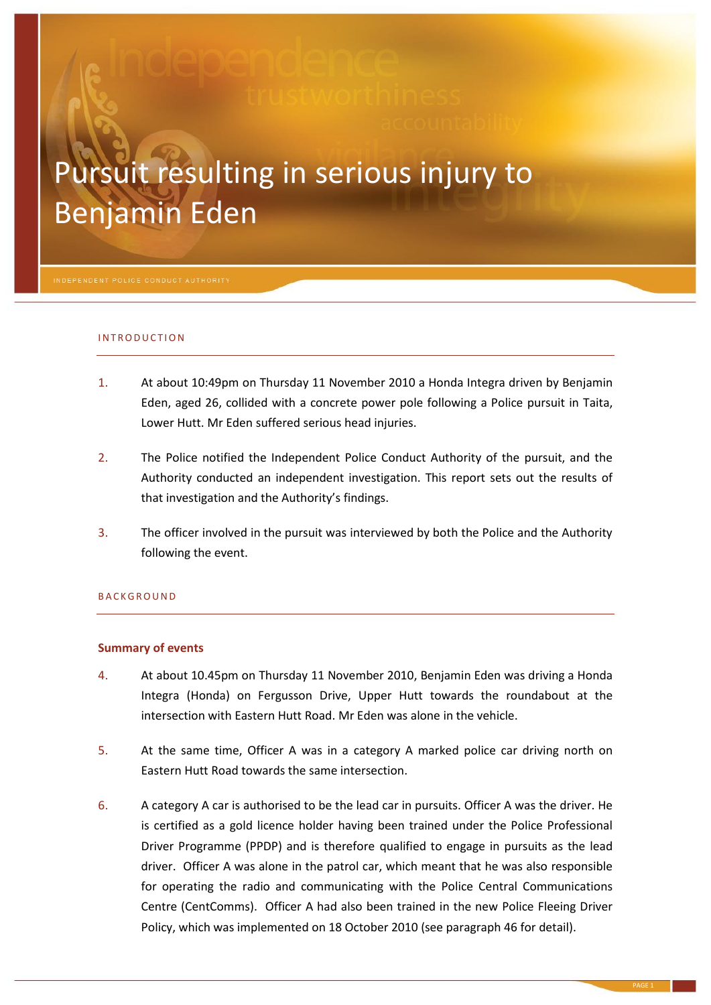# Pursuit resulting in serious injury to Benjamin Eden

#### I N T R OD U C T I O N

- 1. At about 10:49pm on Thursday 11 November 2010 a Honda Integra driven by Benjamin Eden, aged 26, collided with a concrete power pole following a Police pursuit in Taita, Lower Hutt. Mr Eden suffered serious head injuries.
- 2. The Police notified the Independent Police Conduct Authority of the pursuit, and the Authority conducted an independent investigation. This report sets out the results of that investigation and the Authority's findings.
- 3. The officer involved in the pursuit was interviewed by both the Police and the Authority following the event.

#### **BACKGROUND**

#### **Summary of events**

- 4. At about 10.45pm on Thursday 11 November 2010, Benjamin Eden was driving a Honda Integra (Honda) on Fergusson Drive, Upper Hutt towards the roundabout at the intersection with Eastern Hutt Road. Mr Eden was alone in the vehicle.
- 5. At the same time, Officer A was in a category A marked police car driving north on Eastern Hutt Road towards the same intersection.
- 6. A category A car is authorised to be the lead car in pursuits. Officer A was the driver. He is certified as a gold licence holder having been trained under the Police Professional Driver Programme (PPDP) and is therefore qualified to engage in pursuits as the lead driver. Officer A was alone in the patrol car, which meant that he was also responsible for operating the radio and communicating with the Police Central Communications Centre (CentComms). Officer A had also been trained in the new Police Fleeing Driver Policy, which was implemented on 18 October 2010 (see paragraph [46](#page-6-0) for detail).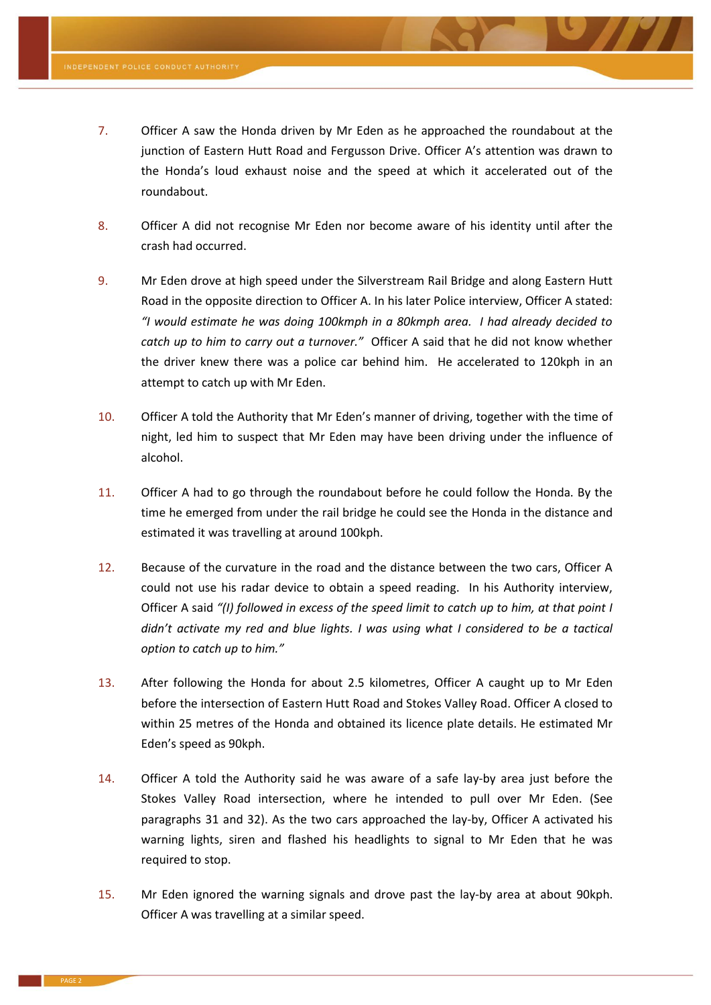- <span id="page-1-0"></span>7. Officer A saw the Honda driven by Mr Eden as he approached the roundabout at the junction of Eastern Hutt Road and Fergusson Drive. Officer A's attention was drawn to the Honda's loud exhaust noise and the speed at which it accelerated out of the roundabout.
- 8. Officer A did not recognise Mr Eden nor become aware of his identity until after the crash had occurred.
- <span id="page-1-1"></span>9. Mr Eden drove at high speed under the Silverstream Rail Bridge and along Eastern Hutt Road in the opposite direction to Officer A. In his later Police interview, Officer A stated: *"I would estimate he was doing 100kmph in a 80kmph area. I had already decided to catch up to him to carry out a turnover."* Officer A said that he did not know whether the driver knew there was a police car behind him. He accelerated to 120kph in an attempt to catch up with Mr Eden.
- 10. Officer A told the Authority that Mr Eden's manner of driving, together with the time of night, led him to suspect that Mr Eden may have been driving under the influence of alcohol.
- <span id="page-1-2"></span>11. Officer A had to go through the roundabout before he could follow the Honda. By the time he emerged from under the rail bridge he could see the Honda in the distance and estimated it was travelling at around 100kph.
- 12. Because of the curvature in the road and the distance between the two cars, Officer A could not use his radar device to obtain a speed reading. In his Authority interview, Officer A said *"(I) followed in excess of the speed limit to catch up to him, at that point I didn't activate my red and blue lights. I was using what I considered to be a tactical option to catch up to him."*
- 13. After following the Honda for about 2.5 kilometres, Officer A caught up to Mr Eden before the intersection of Eastern Hutt Road and Stokes Valley Road. Officer A closed to within 25 metres of the Honda and obtained its licence plate details. He estimated Mr Eden's speed as 90kph.
- <span id="page-1-4"></span>14. Officer A told the Authority said he was aware of a safe lay-by area just before the Stokes Valley Road intersection, where he intended to pull over Mr Eden. (See paragraphs [31](#page-3-0) and [32\)](#page-3-1). As the two cars approached the lay-by, Officer A activated his warning lights, siren and flashed his headlights to signal to Mr Eden that he was required to stop.
- <span id="page-1-3"></span>15. Mr Eden ignored the warning signals and drove past the lay-by area at about 90kph. Officer A was travelling at a similar speed.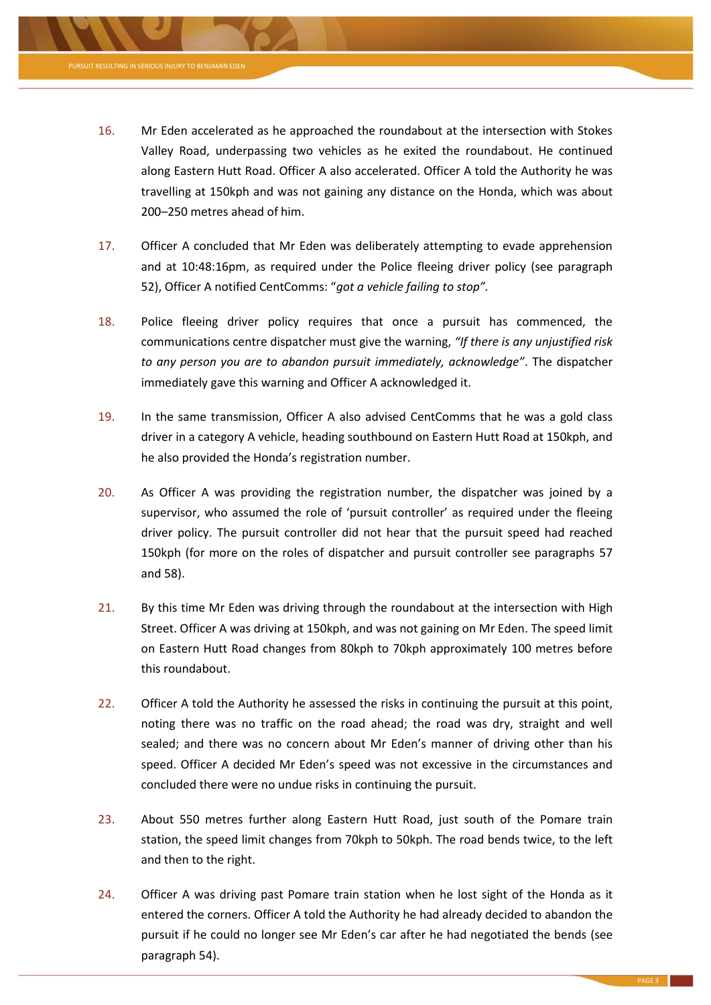

**RESULTING IN SERIOUS INJURY** 

- <span id="page-2-1"></span>17. Officer A concluded that Mr Eden was deliberately attempting to evade apprehension and at 10:48:16pm, as required under the Police fleeing driver policy (see paragraph [52\)](#page-7-0), Officer A notified CentComms: "*got a vehicle failing to stop".*
- <span id="page-2-0"></span>18. Police fleeing driver policy requires that once a pursuit has commenced, the communications centre dispatcher must give the warning, *"If there is any unjustified risk to any person you are to abandon pursuit immediately, acknowledge"*. The dispatcher immediately gave this warning and Officer A acknowledged it.
- 19. In the same transmission, Officer A also advised CentComms that he was a gold class driver in a category A vehicle, heading southbound on Eastern Hutt Road at 150kph, and he also provided the Honda's registration number.
- <span id="page-2-2"></span>20. As Officer A was providing the registration number, the dispatcher was joined by a supervisor, who assumed the role of 'pursuit controller' as required under the fleeing driver policy. The pursuit controller did not hear that the pursuit speed had reached 150kph (for more on the roles of dispatcher and pursuit controller see paragraphs [57](#page-8-0) an[d 58\)](#page-8-1).
- <span id="page-2-3"></span>21. By this time Mr Eden was driving through the roundabout at the intersection with High Street. Officer A was driving at 150kph, and was not gaining on Mr Eden. The speed limit on Eastern Hutt Road changes from 80kph to 70kph approximately 100 metres before this roundabout.
- <span id="page-2-4"></span>22. Officer A told the Authority he assessed the risks in continuing the pursuit at this point, noting there was no traffic on the road ahead; the road was dry, straight and well sealed; and there was no concern about Mr Eden's manner of driving other than his speed. Officer A decided Mr Eden's speed was not excessive in the circumstances and concluded there were no undue risks in continuing the pursuit.
- 23. About 550 metres further along Eastern Hutt Road, just south of the Pomare train station, the speed limit changes from 70kph to 50kph. The road bends twice, to the left and then to the right.
- <span id="page-2-5"></span>24. Officer A was driving past Pomare train station when he lost sight of the Honda as it entered the corners. Officer A told the Authority he had already decided to abandon the pursuit if he could no longer see Mr Eden's car after he had negotiated the bends (see paragrap[h 54\)](#page-7-1).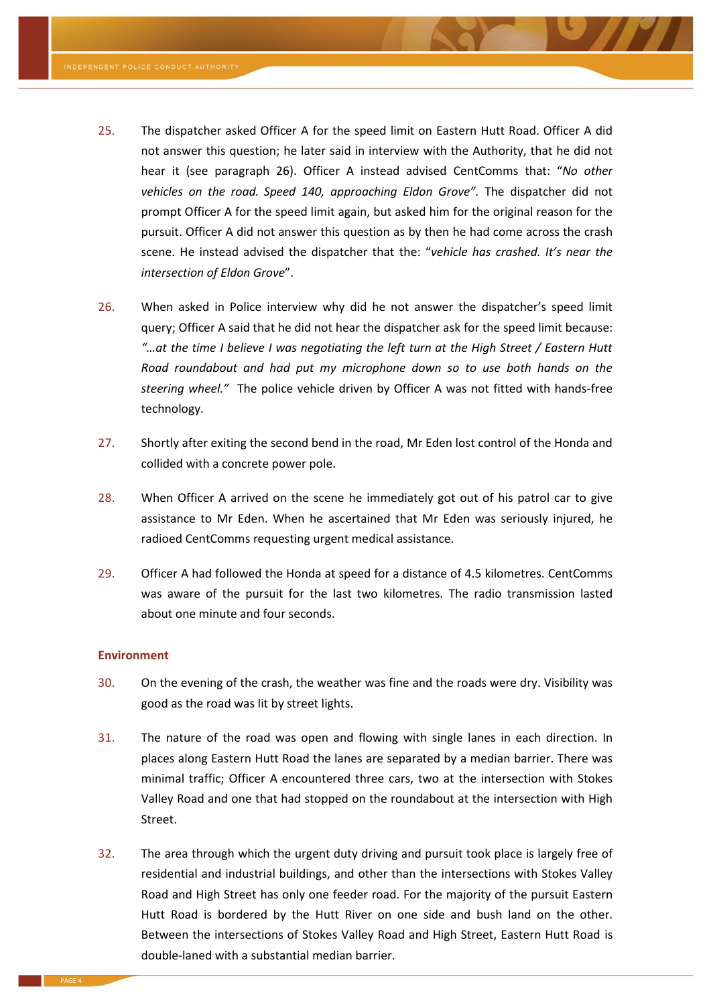- <span id="page-3-3"></span>25. The dispatcher asked Officer A for the speed limit on Eastern Hutt Road. Officer A did not answer this question; he later said in interview with the Authority, that he did not hear it (see paragraph [26\)](#page-3-2). Officer A instead advised CentComms that: "*No other vehicles on the road. Speed 140, approaching Eldon Grove".* The dispatcher did not prompt Officer A for the speed limit again, but asked him for the original reason for the pursuit. Officer A did not answer this question as by then he had come across the crash scene. He instead advised the dispatcher that the: "*vehicle has crashed. It's near the intersection of Eldon Grove*".
- <span id="page-3-2"></span>26. When asked in Police interview why did he not answer the dispatcher's speed limit query; Officer A said that he did not hear the dispatcher ask for the speed limit because: *"…at the time I believe I was negotiating the left turn at the High Street / Eastern Hutt Road roundabout and had put my microphone down so to use both hands on the steering wheel."* The police vehicle driven by Officer A was not fitted with hands-free technology.
- 27. Shortly after exiting the second bend in the road, Mr Eden lost control of the Honda and collided with a concrete power pole.
- 28. When Officer A arrived on the scene he immediately got out of his patrol car to give assistance to Mr Eden. When he ascertained that Mr Eden was seriously injured, he radioed CentComms requesting urgent medical assistance.
- 29. Officer A had followed the Honda at speed for a distance of 4.5 kilometres. CentComms was aware of the pursuit for the last two kilometres. The radio transmission lasted about one minute and four seconds.

#### **Environment**

- 30. On the evening of the crash, the weather was fine and the roads were dry. Visibility was good as the road was lit by street lights.
- <span id="page-3-0"></span>31. The nature of the road was open and flowing with single lanes in each direction. In places along Eastern Hutt Road the lanes are separated by a median barrier. There was minimal traffic; Officer A encountered three cars, two at the intersection with Stokes Valley Road and one that had stopped on the roundabout at the intersection with High Street.
- <span id="page-3-1"></span>32. The area through which the urgent duty driving and pursuit took place is largely free of residential and industrial buildings, and other than the intersections with Stokes Valley Road and High Street has only one feeder road. For the majority of the pursuit Eastern Hutt Road is bordered by the Hutt River on one side and bush land on the other. Between the intersections of Stokes Valley Road and High Street, Eastern Hutt Road is double-laned with a substantial median barrier.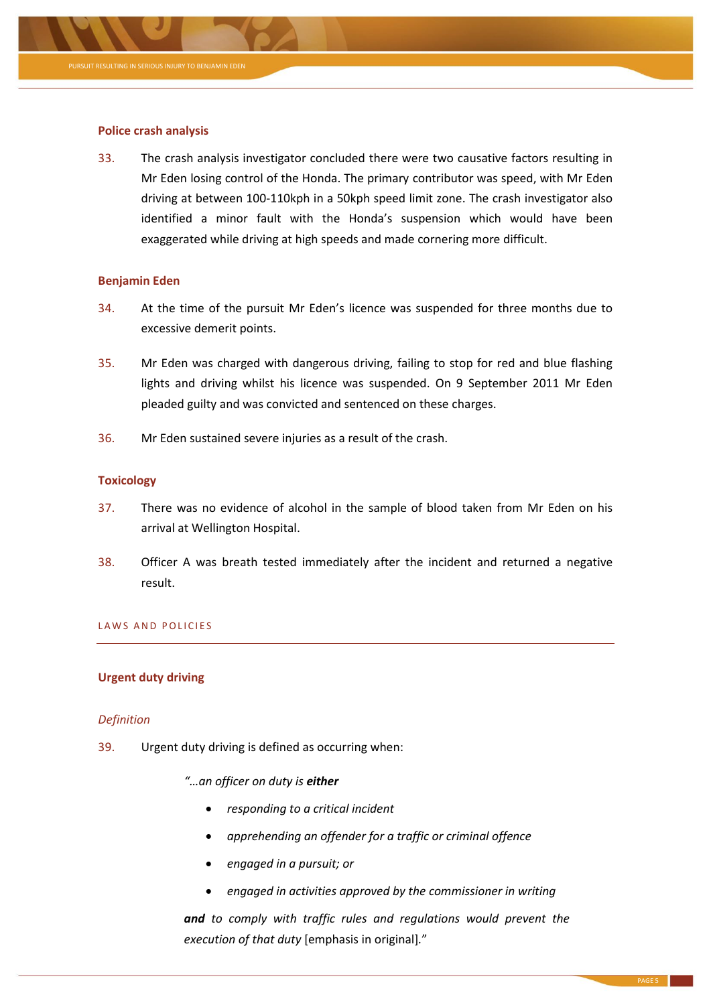

# **Police crash analysis**

33. The crash analysis investigator concluded there were two causative factors resulting in Mr Eden losing control of the Honda. The primary contributor was speed, with Mr Eden driving at between 100-110kph in a 50kph speed limit zone. The crash investigator also identified a minor fault with the Honda's suspension which would have been exaggerated while driving at high speeds and made cornering more difficult.

# **Benjamin Eden**

- 34. At the time of the pursuit Mr Eden's licence was suspended for three months due to excessive demerit points.
- 35. Mr Eden was charged with dangerous driving, failing to stop for red and blue flashing lights and driving whilst his licence was suspended. On 9 September 2011 Mr Eden pleaded guilty and was convicted and sentenced on these charges.
- 36. Mr Eden sustained severe injuries as a result of the crash.

# **Toxicology**

- 37. There was no evidence of alcohol in the sample of blood taken from Mr Eden on his arrival at Wellington Hospital.
- 38. Officer A was breath tested immediately after the incident and returned a negative result.

# LAWS AND POLICIES

# **Urgent duty driving**

# *Definition*

- <span id="page-4-0"></span>39. Urgent duty driving is defined as occurring when:
	- *"…an officer on duty is either*
		- *responding to a critical incident*
		- *apprehending an offender for a traffic or criminal offence*
		- *engaged in a pursuit; or*
		- *engaged in activities approved by the commissioner in writing*

*and to comply with traffic rules and regulations would prevent the execution of that duty* [emphasis in original]*.*"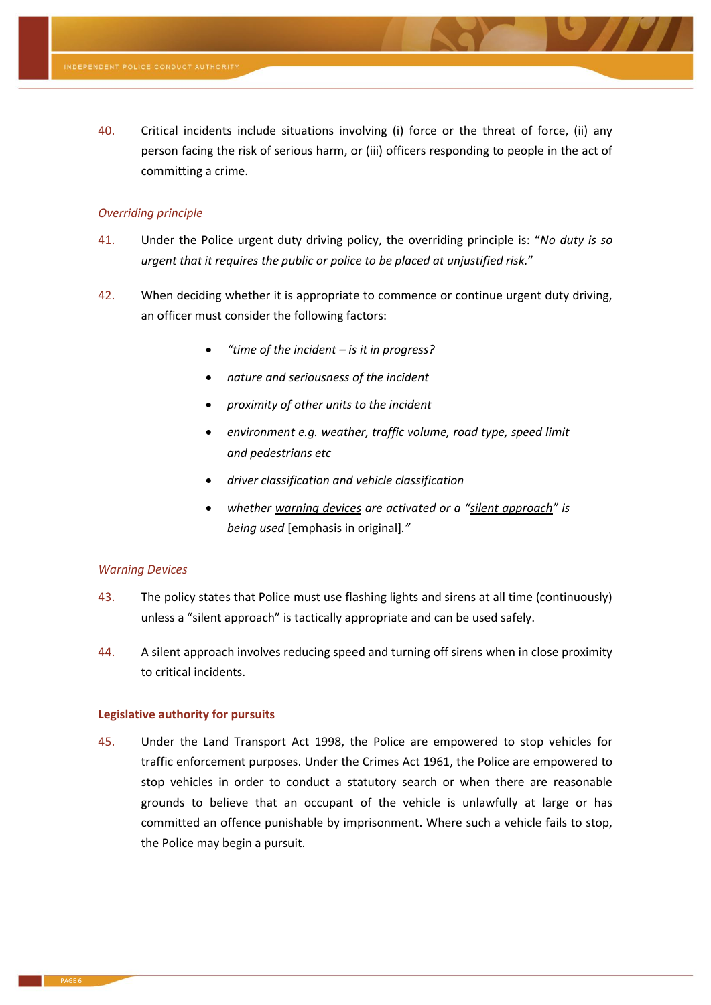<span id="page-5-0"></span>40. Critical incidents include situations involving (i) force or the threat of force, (ii) any person facing the risk of serious harm, or (iii) officers responding to people in the act of committing a crime.

# *Overriding principle*

- <span id="page-5-4"></span>41. Under the Police urgent duty driving policy, the overriding principle is: "*No duty is so urgent that it requires the public or police to be placed at unjustified risk.*"
- <span id="page-5-3"></span>42. When deciding whether it is appropriate to commence or continue urgent duty driving, an officer must consider the following factors:
	- *"time of the incident – is it in progress?*
	- *nature and seriousness of the incident*
	- *proximity of other units to the incident*
	- *environment e.g. weather, traffic volume, road type, speed limit and pedestrians etc*
	- *driver classification and vehicle classification*
	- *whether warning devices are activated or a "silent approach" is being used* [emphasis in original]*."*

### *Warning Devices*

- <span id="page-5-1"></span>43. The policy states that Police must use flashing lights and sirens at all time (continuously) unless a "silent approach" is tactically appropriate and can be used safely.
- <span id="page-5-2"></span>44. A silent approach involves reducing speed and turning off sirens when in close proximity to critical incidents.

#### **Legislative authority for pursuits**

45. Under the Land Transport Act 1998, the Police are empowered to stop vehicles for traffic enforcement purposes. Under the Crimes Act 1961, the Police are empowered to stop vehicles in order to conduct a statutory search or when there are reasonable grounds to believe that an occupant of the vehicle is unlawfully at large or has committed an offence punishable by imprisonment. Where such a vehicle fails to stop, the Police may begin a pursuit.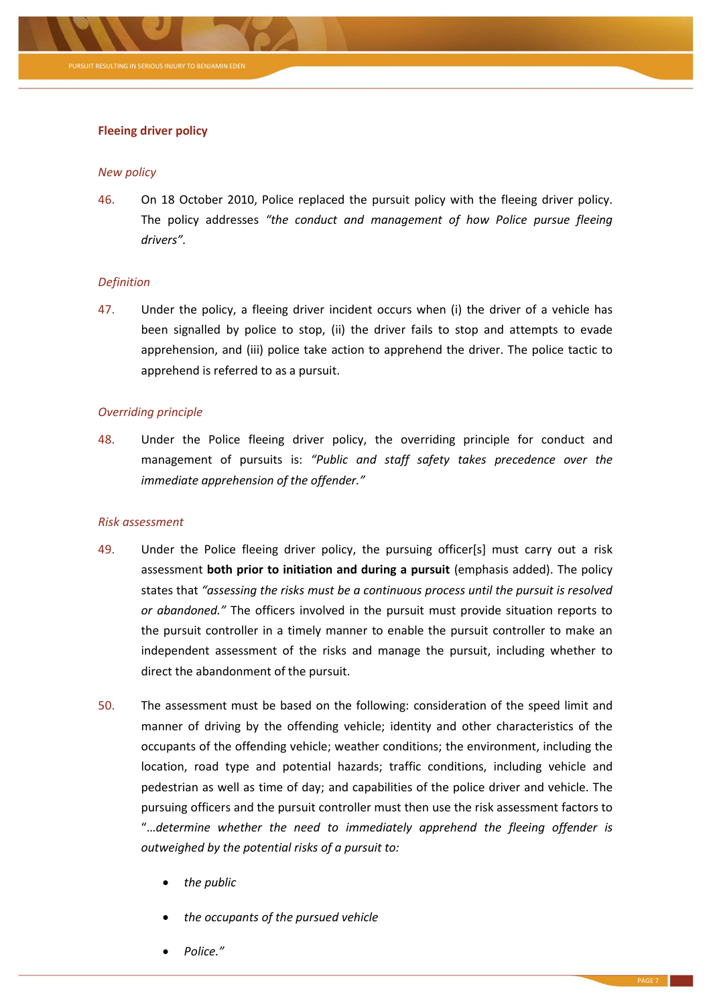

# **Fleeing driver policy**

#### *New policy*

<span id="page-6-0"></span>46. On 18 October 2010, Police replaced the pursuit policy with the fleeing driver policy. The policy addresses *"the conduct and management of how Police pursue fleeing drivers".*

# *Definition*

<span id="page-6-1"></span>47. Under the policy, a fleeing driver incident occurs when (i) the driver of a vehicle has been signalled by police to stop, (ii) the driver fails to stop and attempts to evade apprehension, and (iii) police take action to apprehend the driver. The police tactic to apprehend is referred to as a pursuit.

# *Overriding principle*

48. Under the Police fleeing driver policy, the overriding principle for conduct and management of pursuits is: *"Public and staff safety takes precedence over the immediate apprehension of the offender."*

#### *Risk assessment*

- 49. Under the Police fleeing driver policy, the pursuing officer[s] must carry out a risk assessment **both prior to initiation and during a pursuit** (emphasis added). The policy states that *"assessing the risks must be a continuous process until the pursuit is resolved or abandoned."* The officers involved in the pursuit must provide situation reports to the pursuit controller in a timely manner to enable the pursuit controller to make an independent assessment of the risks and manage the pursuit, including whether to direct the abandonment of the pursuit.
- 50. The assessment must be based on the following: consideration of the speed limit and manner of driving by the offending vehicle; identity and other characteristics of the occupants of the offending vehicle; weather conditions; the environment, including the location, road type and potential hazards; traffic conditions, including vehicle and pedestrian as well as time of day; and capabilities of the police driver and vehicle. The pursuing officers and the pursuit controller must then use the risk assessment factors to "…*determine whether the need to immediately apprehend the fleeing offender is outweighed by the potential risks of a pursuit to:*
	- *the public*
	- *the occupants of the pursued vehicle*
	- *Police."*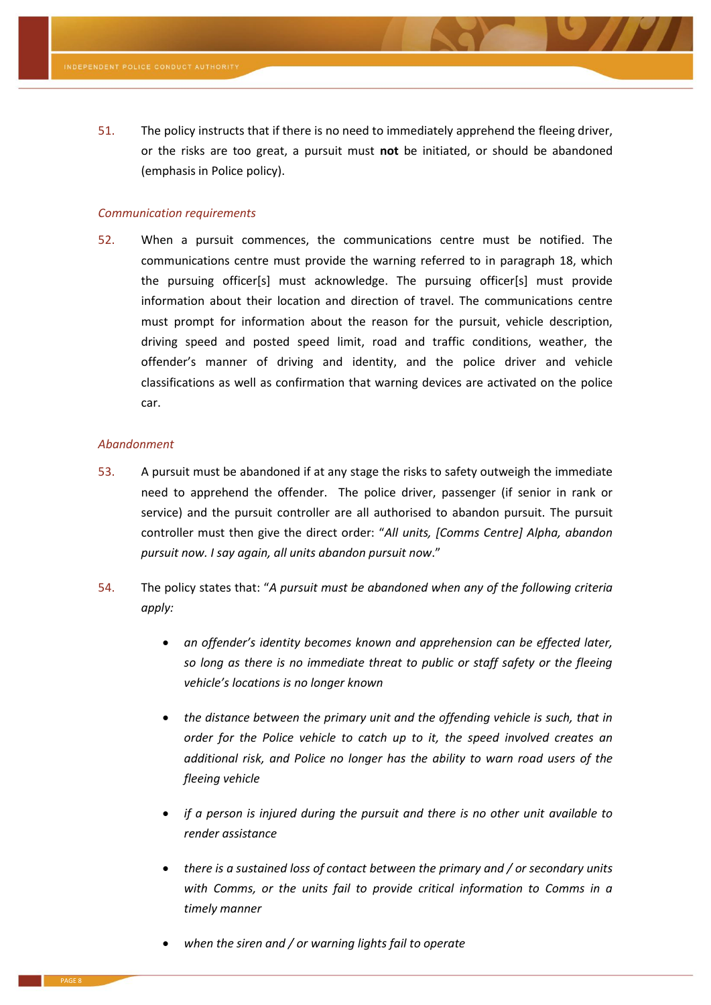51. The policy instructs that if there is no need to immediately apprehend the fleeing driver, or the risks are too great, a pursuit must **not** be initiated, or should be abandoned (emphasis in Police policy).

#### *Communication requirements*

<span id="page-7-0"></span>52. When a pursuit commences, the communications centre must be notified. The communications centre must provide the warning referred to in paragraph [18,](#page-2-0) which the pursuing officer[s] must acknowledge. The pursuing officer[s] must provide information about their location and direction of travel. The communications centre must prompt for information about the reason for the pursuit, vehicle description, driving speed and posted speed limit, road and traffic conditions, weather, the offender's manner of driving and identity, and the police driver and vehicle classifications as well as confirmation that warning devices are activated on the police car.

#### *Abandonment*

- 53. A pursuit must be abandoned if at any stage the risks to safety outweigh the immediate need to apprehend the offender. The police driver, passenger (if senior in rank or service) and the pursuit controller are all authorised to abandon pursuit. The pursuit controller must then give the direct order: "*All units, [Comms Centre] Alpha, abandon pursuit now. I say again, all units abandon pursuit now*."
- <span id="page-7-1"></span>54. The policy states that: "*A pursuit must be abandoned when any of the following criteria apply:*
	- *an offender's identity becomes known and apprehension can be effected later, so long as there is no immediate threat to public or staff safety or the fleeing vehicle's locations is no longer known*
	- *the distance between the primary unit and the offending vehicle is such, that in order for the Police vehicle to catch up to it, the speed involved creates an additional risk, and Police no longer has the ability to warn road users of the fleeing vehicle*
	- *if a person is injured during the pursuit and there is no other unit available to render assistance*
	- *there is a sustained loss of contact between the primary and / or secondary units with Comms, or the units fail to provide critical information to Comms in a timely manner*
	- *when the siren and / or warning lights fail to operate*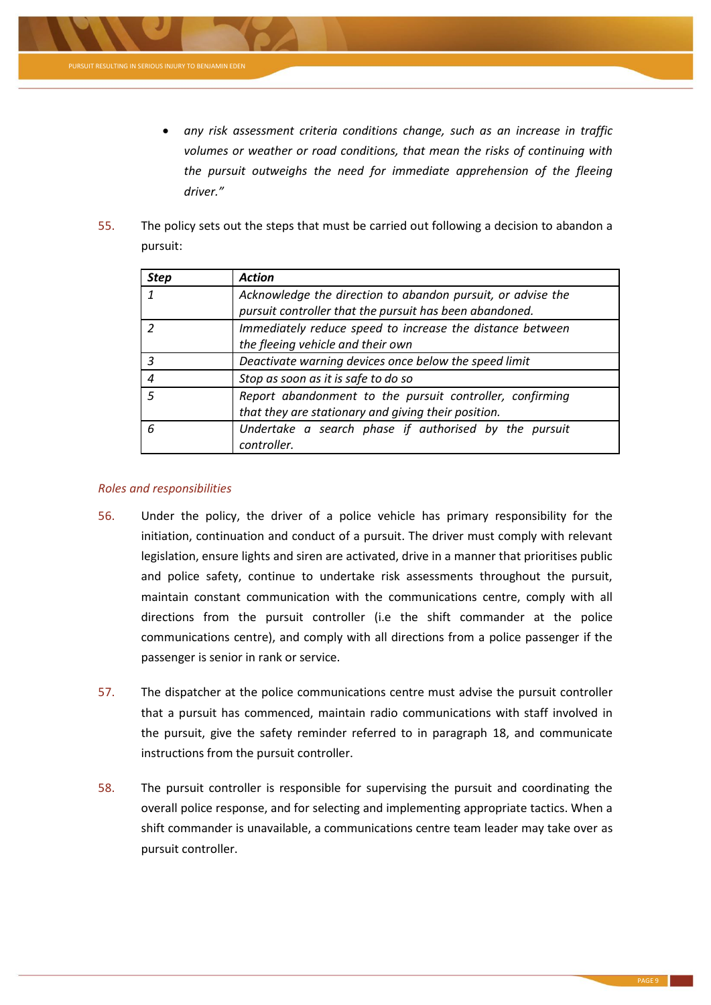

- *any risk assessment criteria conditions change, such as an increase in traffic volumes or weather or road conditions, that mean the risks of continuing with the pursuit outweighs the need for immediate apprehension of the fleeing driver."*
- 55. The policy sets out the steps that must be carried out following a decision to abandon a pursuit:

| <b>Step</b>    | <b>Action</b>                                               |
|----------------|-------------------------------------------------------------|
|                | Acknowledge the direction to abandon pursuit, or advise the |
|                | pursuit controller that the pursuit has been abandoned.     |
|                | Immediately reduce speed to increase the distance between   |
|                | the fleeing vehicle and their own                           |
|                | Deactivate warning devices once below the speed limit       |
| $\overline{4}$ | Stop as soon as it is safe to do so                         |
| -5             | Report abandonment to the pursuit controller, confirming    |
|                | that they are stationary and giving their position.         |
| 6              | Undertake a search phase if authorised by the pursuit       |
|                | controller.                                                 |

# *Roles and responsibilities*

- 56. Under the policy, the driver of a police vehicle has primary responsibility for the initiation, continuation and conduct of a pursuit. The driver must comply with relevant legislation, ensure lights and siren are activated, drive in a manner that prioritises public and police safety, continue to undertake risk assessments throughout the pursuit, maintain constant communication with the communications centre, comply with all directions from the pursuit controller (i.e the shift commander at the police communications centre), and comply with all directions from a police passenger if the passenger is senior in rank or service.
- <span id="page-8-0"></span>57. The dispatcher at the police communications centre must advise the pursuit controller that a pursuit has commenced, maintain radio communications with staff involved in the pursuit, give the safety reminder referred to in paragraph [18,](#page-2-0) and communicate instructions from the pursuit controller.
- <span id="page-8-1"></span>58. The pursuit controller is responsible for supervising the pursuit and coordinating the overall police response, and for selecting and implementing appropriate tactics. When a shift commander is unavailable, a communications centre team leader may take over as pursuit controller.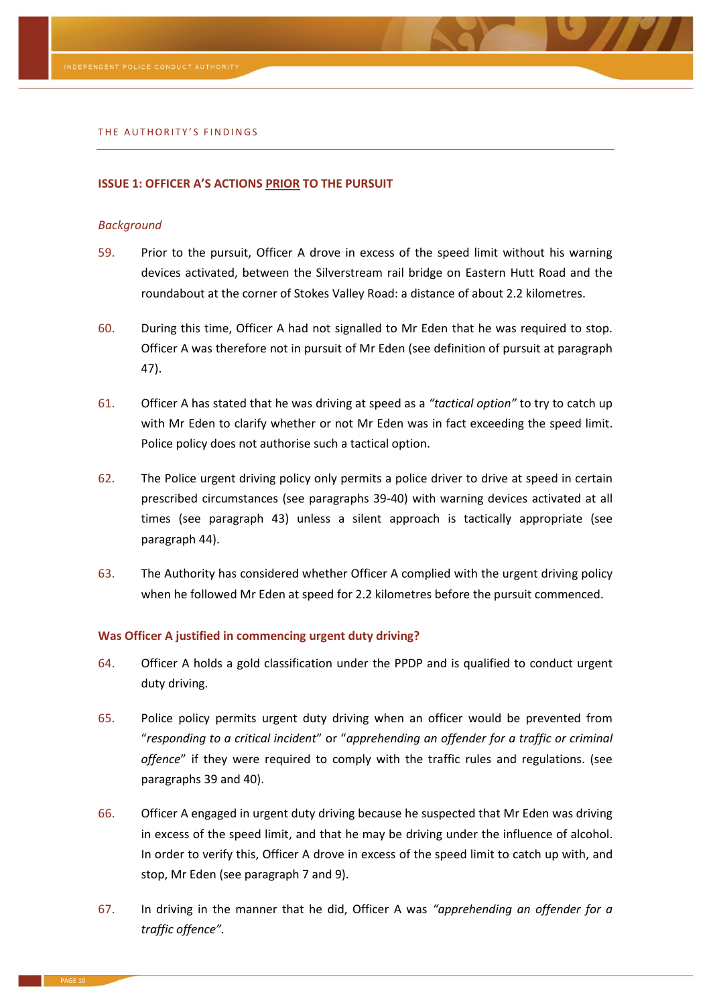#### THE AUTHORITY'S FINDINGS

#### **ISSUE 1: OFFICER A'S ACTIONS PRIOR TO THE PURSUIT**

#### *Background*

- 59. Prior to the pursuit, Officer A drove in excess of the speed limit without his warning devices activated, between the Silverstream rail bridge on Eastern Hutt Road and the roundabout at the corner of Stokes Valley Road: a distance of about 2.2 kilometres.
- 60. During this time, Officer A had not signalled to Mr Eden that he was required to stop. Officer A was therefore not in pursuit of Mr Eden (see definition of pursuit at paragraph [47\)](#page-6-1).
- 61. Officer A has stated that he was driving at speed as a *"tactical option"* to try to catch up with Mr Eden to clarify whether or not Mr Eden was in fact exceeding the speed limit. Police policy does not authorise such a tactical option.
- 62. The Police urgent driving policy only permits a police driver to drive at speed in certain prescribed circumstances (see paragraphs [39](#page-4-0)[-40\)](#page-5-0) with warning devices activated at all times (see paragraph [43\)](#page-5-1) unless a silent approach is tactically appropriate (see paragraph [44\)](#page-5-2).
- 63. The Authority has considered whether Officer A complied with the urgent driving policy when he followed Mr Eden at speed for 2.2 kilometres before the pursuit commenced.

#### **Was Officer A justified in commencing urgent duty driving?**

- 64. Officer A holds a gold classification under the PPDP and is qualified to conduct urgent duty driving.
- 65. Police policy permits urgent duty driving when an officer would be prevented from "*responding to a critical incident*" or "*apprehending an offender for a traffic or criminal offence*" if they were required to comply with the traffic rules and regulations. (see paragraphs [39](#page-4-0) and [40\)](#page-5-0).
- 66. Officer A engaged in urgent duty driving because he suspected that Mr Eden was driving in excess of the speed limit, and that he may be driving under the influence of alcohol. In order to verify this, Officer A drove in excess of the speed limit to catch up with, and stop, Mr Eden (see paragraph [7](#page-1-0) an[d 9\)](#page-1-1).
- 67. In driving in the manner that he did, Officer A was *"apprehending an offender for a traffic offence".*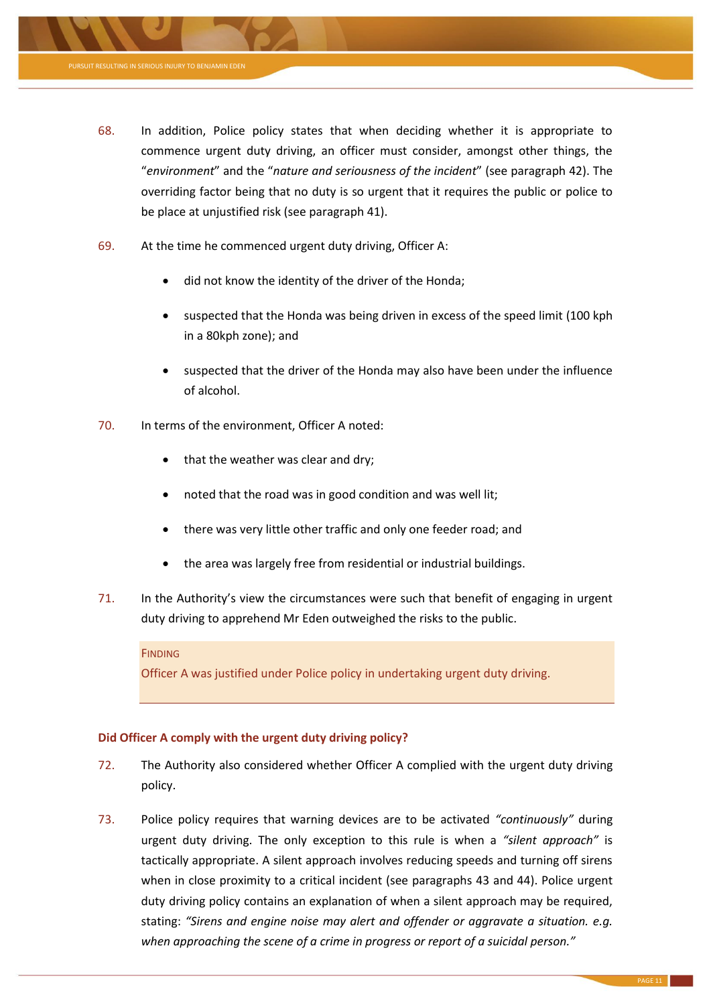

- 68. In addition, Police policy states that when deciding whether it is appropriate to commence urgent duty driving, an officer must consider, amongst other things, the "*environment*" and the "*nature and seriousness of the incident*" (see paragraph [42\)](#page-5-3). The overriding factor being that no duty is so urgent that it requires the public or police to be place at unjustified risk (see paragraph [41\)](#page-5-4).
- <span id="page-10-0"></span>69. At the time he commenced urgent duty driving, Officer A:
	- did not know the identity of the driver of the Honda;
	- suspected that the Honda was being driven in excess of the speed limit (100 kph in a 80kph zone); and
	- suspected that the driver of the Honda may also have been under the influence of alcohol.
- <span id="page-10-1"></span>70. In terms of the environment, Officer A noted:
	- that the weather was clear and dry;
	- noted that the road was in good condition and was well lit;
	- there was very little other traffic and only one feeder road; and
	- the area was largely free from residential or industrial buildings.
- 71. In the Authority's view the circumstances were such that benefit of engaging in urgent duty driving to apprehend Mr Eden outweighed the risks to the public.

# **FINDING**

Officer A was justified under Police policy in undertaking urgent duty driving.

# **Did Officer A comply with the urgent duty driving policy?**

- 72. The Authority also considered whether Officer A complied with the urgent duty driving policy.
- 73. Police policy requires that warning devices are to be activated *"continuously"* during urgent duty driving. The only exception to this rule is when a *"silent approach"* is tactically appropriate. A silent approach involves reducing speeds and turning off sirens when in close proximity to a critical incident (see paragraphs [43](#page-5-1) and [44\)](#page-5-2). Police urgent duty driving policy contains an explanation of when a silent approach may be required, stating: *"Sirens and engine noise may alert and offender or aggravate a situation. e.g. when approaching the scene of a crime in progress or report of a suicidal person."*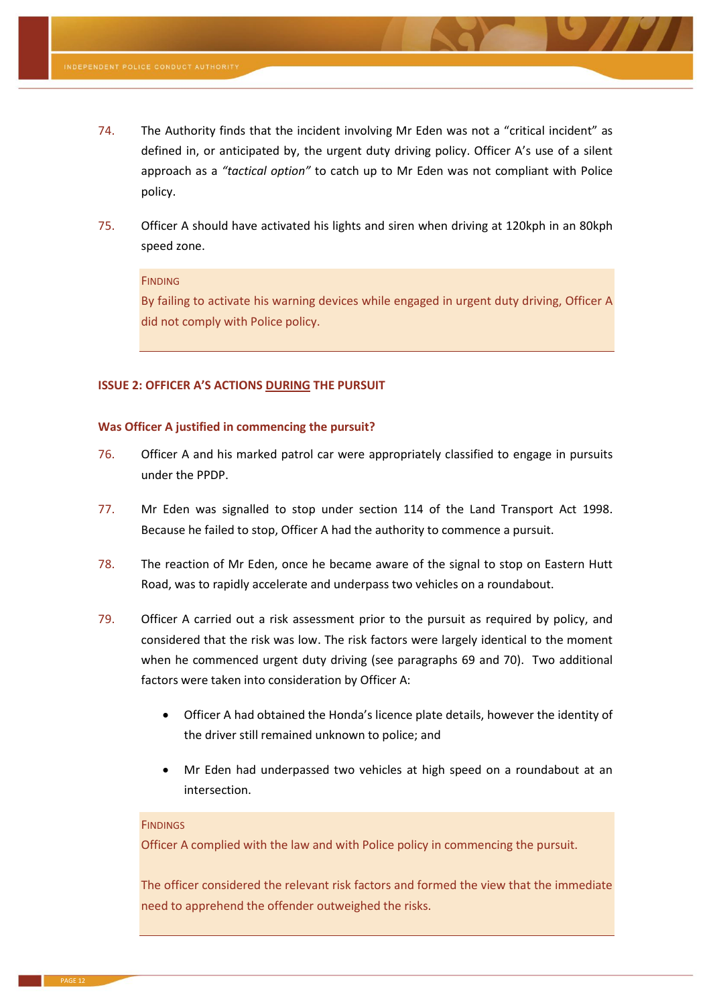- 74. The Authority finds that the incident involving Mr Eden was not a "critical incident" as defined in, or anticipated by, the urgent duty driving policy. Officer A's use of a silent approach as a *"tactical option"* to catch up to Mr Eden was not compliant with Police policy.
- 75. Officer A should have activated his lights and siren when driving at 120kph in an 80kph speed zone.

#### **FINDING**

By failing to activate his warning devices while engaged in urgent duty driving, Officer A did not comply with Police policy.

#### **ISSUE 2: OFFICER A'S ACTIONS DURING THE PURSUIT**

#### **Was Officer A justified in commencing the pursuit?**

- 76. Officer A and his marked patrol car were appropriately classified to engage in pursuits under the PPDP.
- 77. Mr Eden was signalled to stop under section 114 of the Land Transport Act 1998. Because he failed to stop, Officer A had the authority to commence a pursuit.
- 78. The reaction of Mr Eden, once he became aware of the signal to stop on Eastern Hutt Road, was to rapidly accelerate and underpass two vehicles on a roundabout.
- 79. Officer A carried out a risk assessment prior to the pursuit as required by policy, and considered that the risk was low. The risk factors were largely identical to the moment when he commenced urgent duty driving (see paragraphs [69](#page-10-0) and [70\)](#page-10-1). Two additional factors were taken into consideration by Officer A:
	- Officer A had obtained the Honda's licence plate details, however the identity of the driver still remained unknown to police; and
	- Mr Eden had underpassed two vehicles at high speed on a roundabout at an intersection.

#### **FINDINGS**

Officer A complied with the law and with Police policy in commencing the pursuit.

The officer considered the relevant risk factors and formed the view that the immediate need to apprehend the offender outweighed the risks.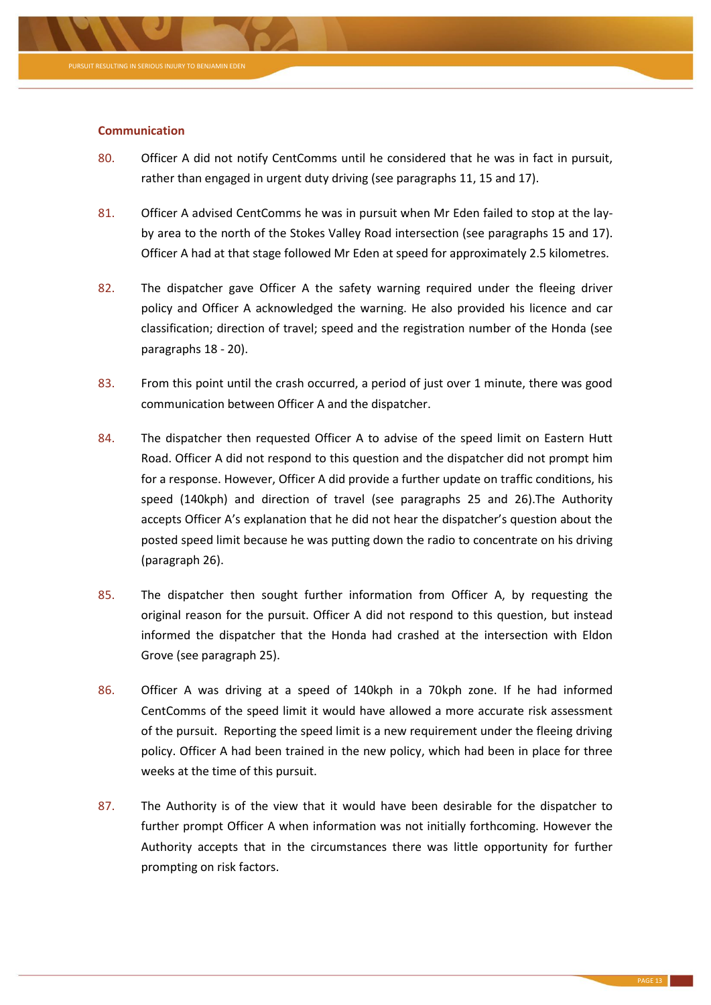

# **Communication**

- 80. Officer A did not notify CentComms until he considered that he was in fact in pursuit, rather than engaged in urgent duty driving (see paragraphs [11,](#page-1-2) [15](#page-1-3) and [17\)](#page-2-1).
- 81. Officer A advised CentComms he was in pursuit when Mr Eden failed to stop at the layby area to the north of the Stokes Valley Road intersection (see paragraphs [15](#page-1-3) and [17\)](#page-2-1). Officer A had at that stage followed Mr Eden at speed for approximately 2.5 kilometres.
- 82. The dispatcher gave Officer A the safety warning required under the fleeing driver policy and Officer A acknowledged the warning. He also provided his licence and car classification; direction of travel; speed and the registration number of the Honda (see paragraphs [18](#page-2-0) - [20\)](#page-2-2).
- 83. From this point until the crash occurred, a period of just over 1 minute, there was good communication between Officer A and the dispatcher.
- 84. The dispatcher then requested Officer A to advise of the speed limit on Eastern Hutt Road. Officer A did not respond to this question and the dispatcher did not prompt him for a response. However, Officer A did provide a further update on traffic conditions, his speed (140kph) and direction of travel (see paragraphs [25](#page-3-3) and [26\)](#page-3-2).The Authority accepts Officer A's explanation that he did not hear the dispatcher's question about the posted speed limit because he was putting down the radio to concentrate on his driving (paragraph [26\)](#page-3-2).
- 85. The dispatcher then sought further information from Officer A, by requesting the original reason for the pursuit. Officer A did not respond to this question, but instead informed the dispatcher that the Honda had crashed at the intersection with Eldon Grove (see paragraph [25\)](#page-3-3).
- 86. Officer A was driving at a speed of 140kph in a 70kph zone. If he had informed CentComms of the speed limit it would have allowed a more accurate risk assessment of the pursuit. Reporting the speed limit is a new requirement under the fleeing driving policy. Officer A had been trained in the new policy, which had been in place for three weeks at the time of this pursuit.
- 87. The Authority is of the view that it would have been desirable for the dispatcher to further prompt Officer A when information was not initially forthcoming. However the Authority accepts that in the circumstances there was little opportunity for further prompting on risk factors.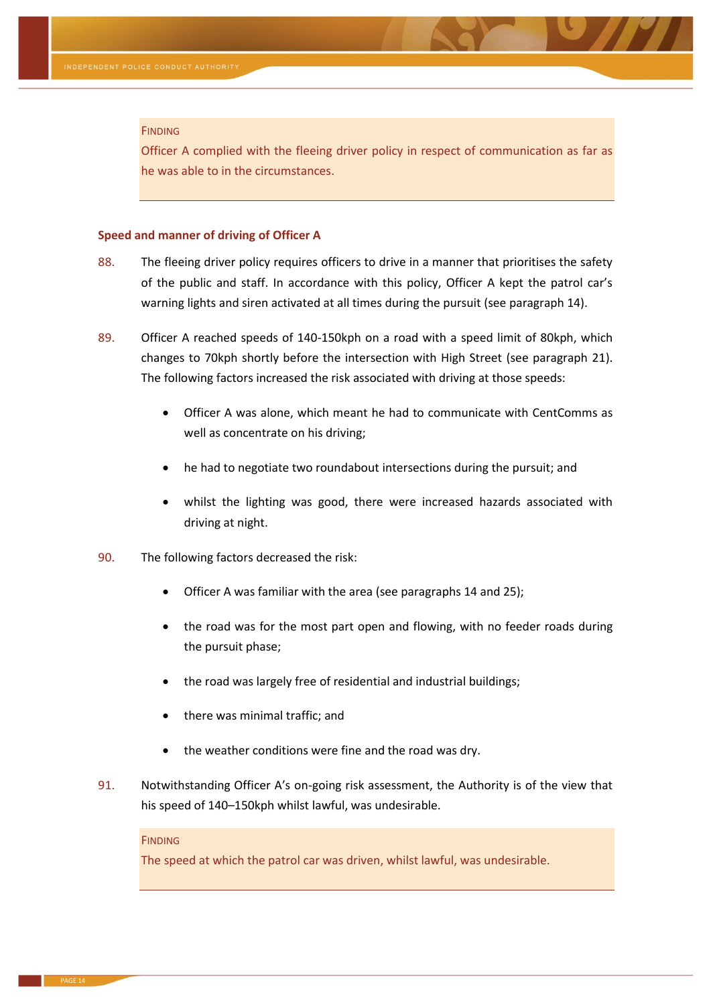#### FINDING

Officer A complied with the fleeing driver policy in respect of communication as far as he was able to in the circumstances.

#### **Speed and manner of driving of Officer A**

- 88. The fleeing driver policy requires officers to drive in a manner that prioritises the safety of the public and staff. In accordance with this policy, Officer A kept the patrol car's warning lights and siren activated at all times during the pursuit (see paragraph [14\)](#page-1-4).
- 89. Officer A reached speeds of 140-150kph on a road with a speed limit of 80kph, which changes to 70kph shortly before the intersection with High Street (see paragraph [21\)](#page-2-3). The following factors increased the risk associated with driving at those speeds:
	- Officer A was alone, which meant he had to communicate with CentComms as well as concentrate on his driving;
	- he had to negotiate two roundabout intersections during the pursuit; and
	- whilst the lighting was good, there were increased hazards associated with driving at night.
- 90. The following factors decreased the risk:
	- Officer A was familiar with the area (see paragraph[s 14](#page-1-4) and [25\)](#page-3-3);
	- the road was for the most part open and flowing, with no feeder roads during the pursuit phase;
	- the road was largely free of residential and industrial buildings;
	- there was minimal traffic; and
	- the weather conditions were fine and the road was dry.
- 91. Notwithstanding Officer A's on-going risk assessment, the Authority is of the view that his speed of 140–150kph whilst lawful, was undesirable.

#### FINDING

The speed at which the patrol car was driven, whilst lawful, was undesirable.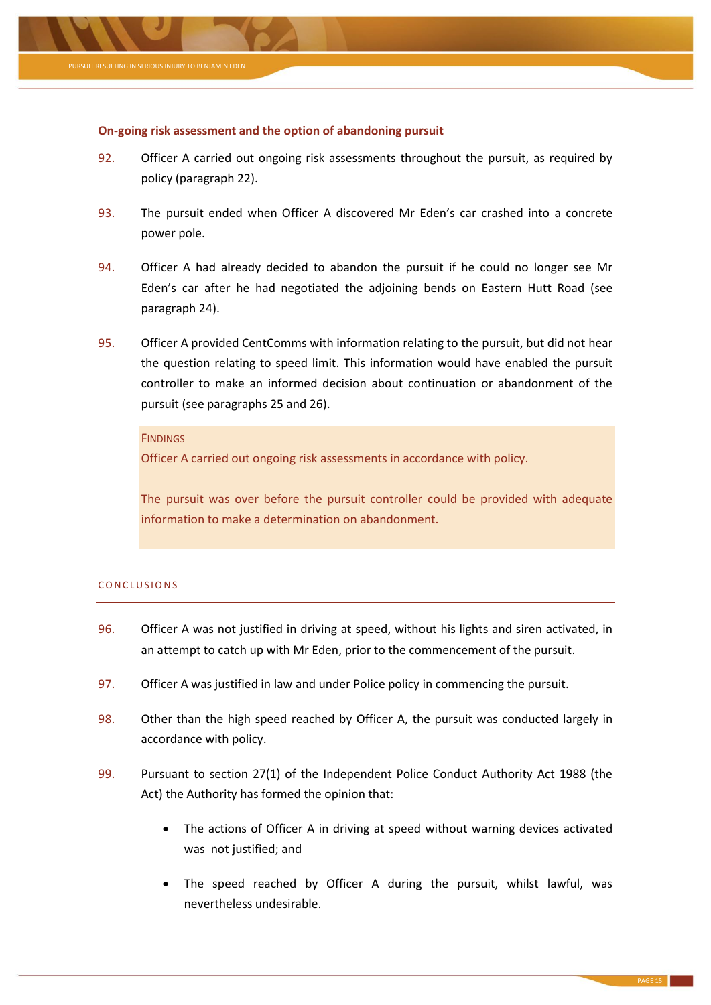

#### **On-going risk assessment and the option of abandoning pursuit**

- 92. Officer A carried out ongoing risk assessments throughout the pursuit, as required by policy (paragraph [22\)](#page-2-4).
- 93. The pursuit ended when Officer A discovered Mr Eden's car crashed into a concrete power pole.
- 94. Officer A had already decided to abandon the pursuit if he could no longer see Mr Eden's car after he had negotiated the adjoining bends on Eastern Hutt Road (see paragraph [24\)](#page-2-5).
- 95. Officer A provided CentComms with information relating to the pursuit, but did not hear the question relating to speed limit. This information would have enabled the pursuit controller to make an informed decision about continuation or abandonment of the pursuit (see paragraphs [25](#page-3-3) and [26\)](#page-3-2).

# **FINDINGS**

Officer A carried out ongoing risk assessments in accordance with policy.

The pursuit was over before the pursuit controller could be provided with adequate information to make a determination on abandonment.

#### CONCLUSIONS

- 96. Officer A was not justified in driving at speed, without his lights and siren activated, in an attempt to catch up with Mr Eden, prior to the commencement of the pursuit.
- 97. Officer A was justified in law and under Police policy in commencing the pursuit.
- 98. Other than the high speed reached by Officer A, the pursuit was conducted largely in accordance with policy.
- 99. Pursuant to section 27(1) of the Independent Police Conduct Authority Act 1988 (the Act) the Authority has formed the opinion that:
	- The actions of Officer A in driving at speed without warning devices activated was not justified; and
	- The speed reached by Officer A during the pursuit, whilst lawful, was nevertheless undesirable.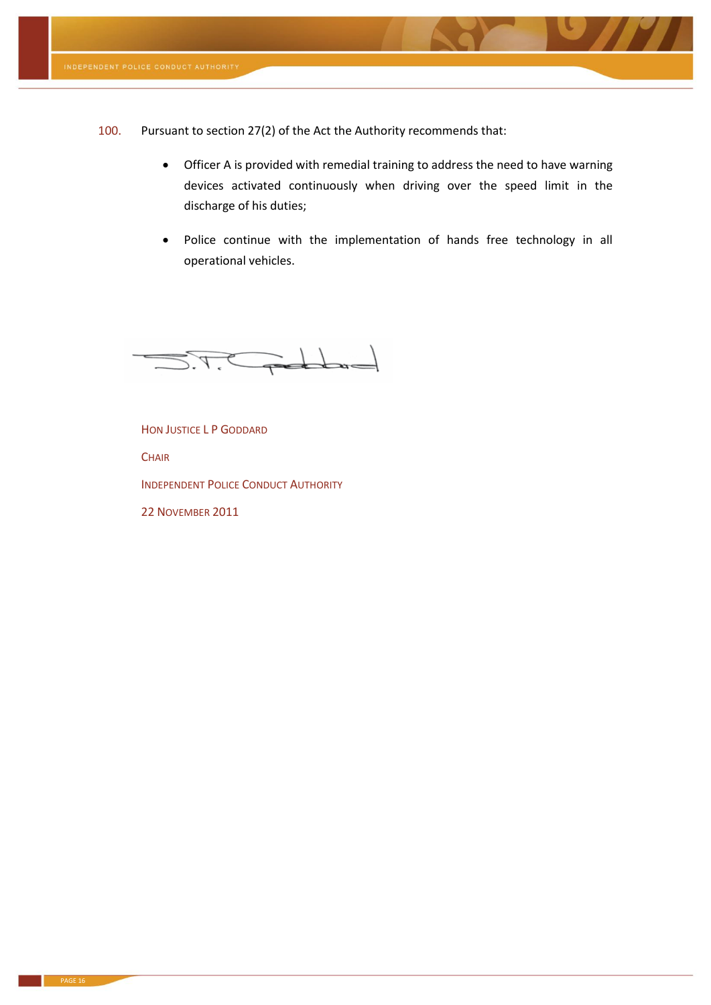

100. Pursuant to section 27(2) of the Act the Authority recommends that:

- Officer A is provided with remedial training to address the need to have warning devices activated continuously when driving over the speed limit in the discharge of his duties;
- Police continue with the implementation of hands free technology in all operational vehicles.



HON JUSTICE L P GODDARD

**CHAIR** 

INDEPENDENT POLICE CONDUCT AUTHORITY

22 NOVEMBER 2011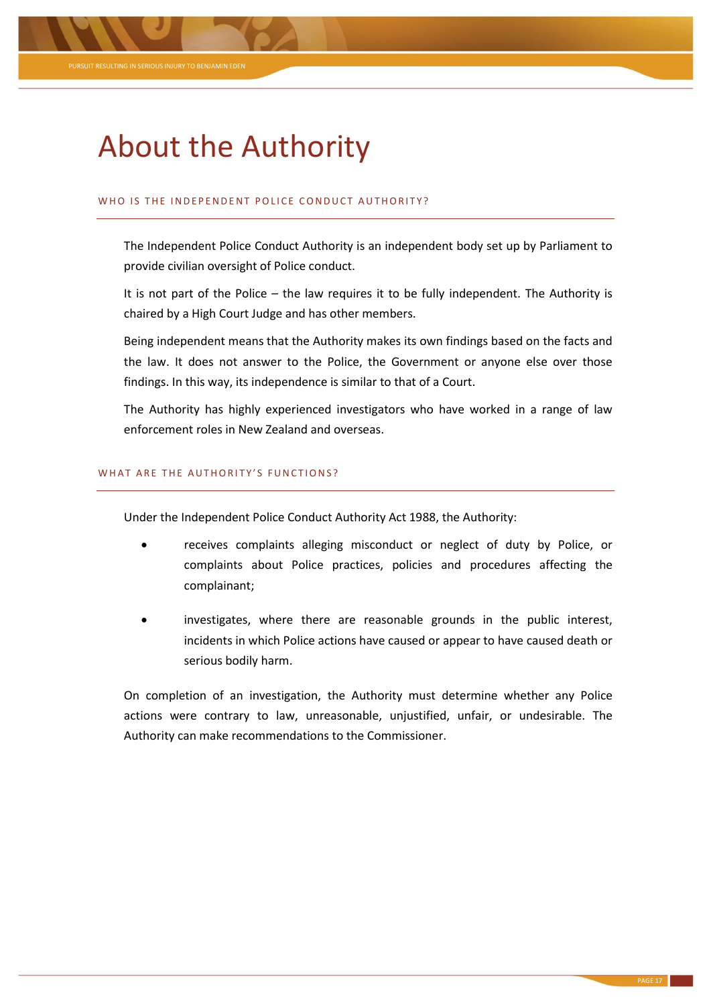

# About the Authority

# WHO IS THE INDEPENDENT POLICE CONDUCT AUTHORITY?

The Independent Police Conduct Authority is an independent body set up by Parliament to provide civilian oversight of Police conduct.

It is not part of the Police – the law requires it to be fully independent. The Authority is chaired by a High Court Judge and has other members.

Being independent means that the Authority makes its own findings based on the facts and the law. It does not answer to the Police, the Government or anyone else over those findings. In this way, its independence is similar to that of a Court.

The Authority has highly experienced investigators who have worked in a range of law enforcement roles in New Zealand and overseas.

# WHAT ARE THE AUTHORITY'S FUNCTIONS?

Under the Independent Police Conduct Authority Act 1988, the Authority:

- receives complaints alleging misconduct or neglect of duty by Police, or complaints about Police practices, policies and procedures affecting the complainant;
- investigates, where there are reasonable grounds in the public interest, incidents in which Police actions have caused or appear to have caused death or serious bodily harm.

On completion of an investigation, the Authority must determine whether any Police actions were contrary to law, unreasonable, unjustified, unfair, or undesirable. The Authority can make recommendations to the Commissioner.